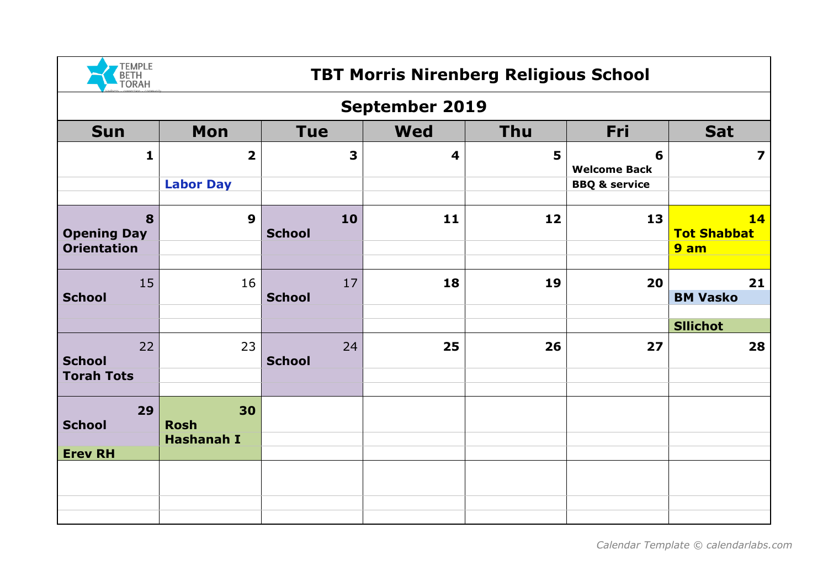

| September 2019          |                         |                     |                         |            |                          |                          |  |  |
|-------------------------|-------------------------|---------------------|-------------------------|------------|--------------------------|--------------------------|--|--|
| <b>Sun</b>              | Mon                     | <b>Tue</b>          | <b>Wed</b>              | <b>Thu</b> | Fri                      | <b>Sat</b>               |  |  |
| $\mathbf{1}$            | $\overline{\mathbf{2}}$ | 3                   | $\overline{\mathbf{4}}$ | 5          | 6<br><b>Welcome Back</b> | $\overline{\mathbf{z}}$  |  |  |
|                         | <b>Labor Day</b>        |                     |                         |            | <b>BBQ &amp; service</b> |                          |  |  |
| 8<br><b>Opening Day</b> | $\boldsymbol{9}$        | 10<br><b>School</b> | 11                      | 12         | 13                       | 14<br><b>Tot Shabbat</b> |  |  |
| <b>Orientation</b>      |                         |                     |                         |            |                          | 9 am                     |  |  |
| 15<br><b>School</b>     | 16                      | 17<br><b>School</b> | 18                      | 19         | 20                       | 21<br><b>BM Vasko</b>    |  |  |
|                         |                         |                     |                         |            |                          | <b>Sllichot</b>          |  |  |
| 22<br><b>School</b>     | 23                      | 24<br><b>School</b> | 25                      | 26         | 27                       | 28                       |  |  |
| <b>Torah Tots</b>       |                         |                     |                         |            |                          |                          |  |  |
| 29<br><b>School</b>     | 30<br><b>Rosh</b>       |                     |                         |            |                          |                          |  |  |
| <b>Erev RH</b>          | <b>Hashanah I</b>       |                     |                         |            |                          |                          |  |  |
|                         |                         |                     |                         |            |                          |                          |  |  |
|                         |                         |                     |                         |            |                          |                          |  |  |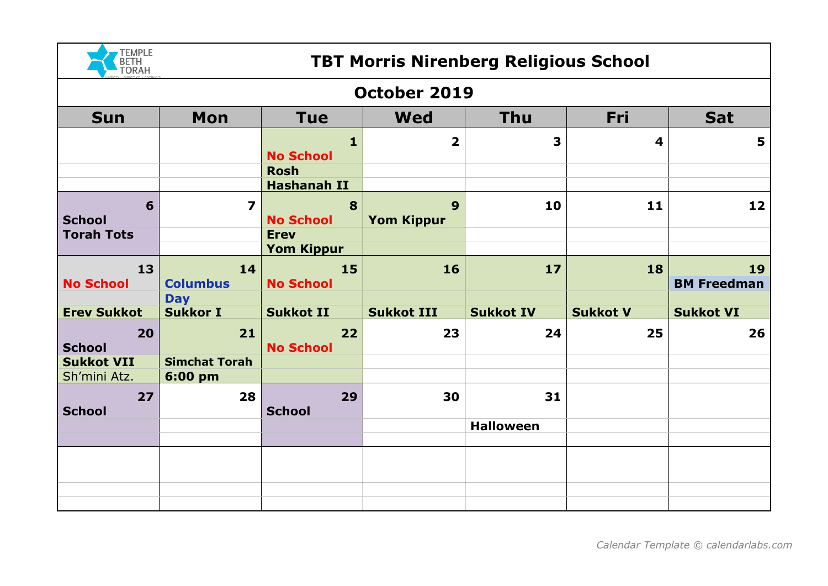

| October 2019                        |                                     |                                                 |                         |                         |                         |                          |  |  |
|-------------------------------------|-------------------------------------|-------------------------------------------------|-------------------------|-------------------------|-------------------------|--------------------------|--|--|
| <b>Sun</b>                          | Mon                                 | <b>Tue</b>                                      | <b>Wed</b>              | <b>Thu</b>              | Fri                     | <b>Sat</b>               |  |  |
|                                     |                                     | $\mathbf{1}$<br><b>No School</b><br><b>Rosh</b> | $\overline{\mathbf{2}}$ | $\overline{\mathbf{3}}$ | $\overline{\mathbf{4}}$ | 5                        |  |  |
| 6<br><b>School</b>                  | $\overline{\mathbf{z}}$             | Hashanah II<br>$\bf{8}$<br><b>No School</b>     | 9<br><b>Yom Kippur</b>  | 10                      | 11                      | 12                       |  |  |
| <b>Torah Tots</b>                   |                                     | <b>Erev</b><br><b>Yom Kippur</b>                |                         |                         |                         |                          |  |  |
| 13<br><b>No School</b>              | 14<br><b>Columbus</b><br><b>Day</b> | 15<br><b>No School</b>                          | 16                      | 17                      | 18                      | 19<br><b>BM Freedman</b> |  |  |
| <b>Erev Sukkot</b>                  | <b>Sukkor I</b>                     | <b>Sukkot II</b>                                | <b>Sukkot III</b>       | <b>Sukkot IV</b>        | <b>Sukkot V</b>         | <b>Sukkot VI</b>         |  |  |
| 20<br><b>School</b>                 | 21                                  | 22<br><b>No School</b>                          | 23                      | 24                      | 25                      | 26                       |  |  |
| <b>Sukkot VII</b>                   | <b>Simchat Torah</b>                |                                                 |                         |                         |                         |                          |  |  |
| Sh'mini Atz.<br>27<br><b>School</b> | 6:00 pm<br>28                       | 29<br><b>School</b>                             | 30                      | 31                      |                         |                          |  |  |
|                                     |                                     |                                                 |                         | <b>Halloween</b>        |                         |                          |  |  |
|                                     |                                     |                                                 |                         |                         |                         |                          |  |  |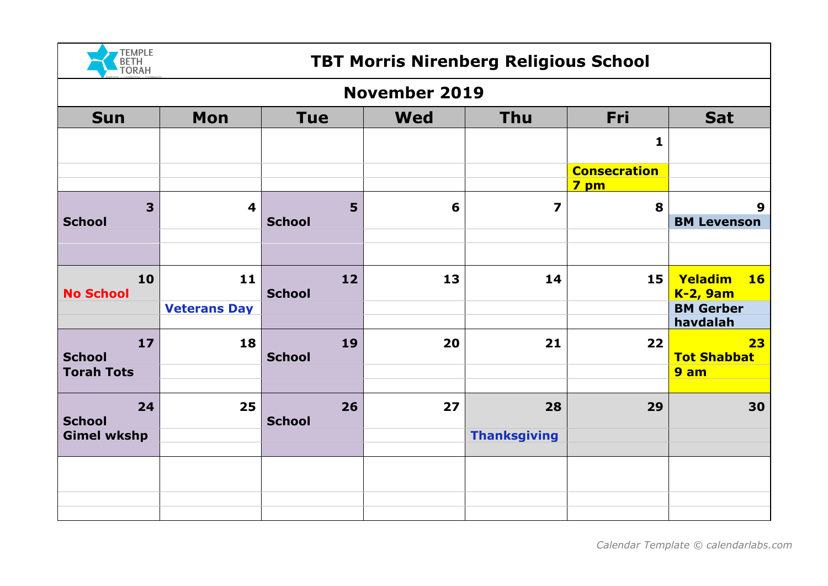

|                                          | TUKAH                   |                     |            |                         |                                        |                                  |  |  |  |
|------------------------------------------|-------------------------|---------------------|------------|-------------------------|----------------------------------------|----------------------------------|--|--|--|
|                                          | <b>November 2019</b>    |                     |            |                         |                                        |                                  |  |  |  |
| <b>Sun</b>                               | Mon                     | <b>Tue</b>          | <b>Wed</b> | <b>Thu</b>              | Fri                                    | <b>Sat</b>                       |  |  |  |
|                                          |                         |                     |            |                         | $\mathbf{1}$                           |                                  |  |  |  |
|                                          |                         |                     |            |                         | <b>Consecration</b><br>7 <sub>pm</sub> |                                  |  |  |  |
| $\overline{\mathbf{3}}$<br><b>School</b> | $\overline{\mathbf{4}}$ | 5<br><b>School</b>  | 6          | $\overline{\mathbf{z}}$ | 8                                      | 9<br><b>BM Levenson</b>          |  |  |  |
|                                          |                         |                     |            |                         |                                        |                                  |  |  |  |
| 10<br><b>No School</b>                   | 11                      | 12<br><b>School</b> | 13         | 14                      | 15 <sup>1</sup>                        | Yeladim<br>16<br><b>K-2, 9am</b> |  |  |  |
|                                          | <b>Veterans Day</b>     |                     |            |                         |                                        | <b>BM Gerber</b><br>havdalah     |  |  |  |
| 17<br><b>School</b>                      | 18                      | 19<br><b>School</b> | 20         | 21                      | 22                                     | 23<br><b>Tot Shabbat</b>         |  |  |  |
| <b>Torah Tots</b>                        |                         |                     |            |                         |                                        | 9 am                             |  |  |  |
| 24<br><b>School</b>                      | 25                      | 26<br><b>School</b> | 27         | 28                      | 29                                     | 30                               |  |  |  |
| <b>Gimel wkshp</b>                       |                         |                     |            | <b>Thanksgiving</b>     |                                        |                                  |  |  |  |
|                                          |                         |                     |            |                         |                                        |                                  |  |  |  |
|                                          |                         |                     |            |                         |                                        |                                  |  |  |  |
|                                          |                         |                     |            |                         |                                        |                                  |  |  |  |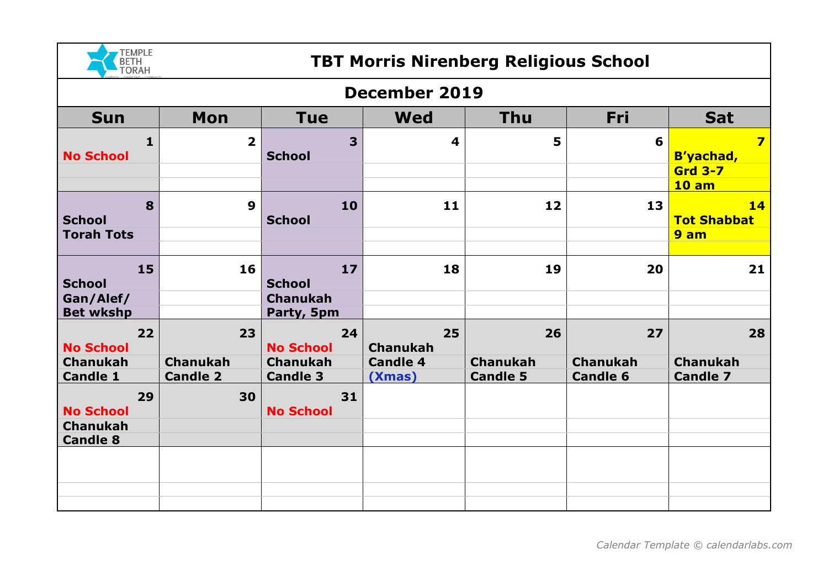

|                                                              | $1 - 2 + 2 + 1 + 1$<br><b>December 2019</b> |                                                              |                                                    |                                          |                                          |                                                                        |  |  |
|--------------------------------------------------------------|---------------------------------------------|--------------------------------------------------------------|----------------------------------------------------|------------------------------------------|------------------------------------------|------------------------------------------------------------------------|--|--|
| <b>Sun</b>                                                   | Mon                                         | <b>Tue</b>                                                   | <b>Wed</b>                                         | <b>Thu</b>                               | Fri                                      | <b>Sat</b>                                                             |  |  |
| $\mathbf{1}$<br><b>No School</b>                             | $\overline{\mathbf{2}}$                     | $\overline{\mathbf{3}}$<br><b>School</b>                     | 4                                                  | 5                                        | 6                                        | $\overline{\mathbf{z}}$<br><b>B'yachad,</b><br><b>Grd 3-7</b><br>10 am |  |  |
| 8<br><b>School</b><br><b>Torah Tots</b>                      | $\boldsymbol{9}$                            | 10<br><b>School</b>                                          | 11                                                 | 12                                       | 13                                       | <b>14</b><br><b>Tot Shabbat</b><br>9 am                                |  |  |
| 15<br><b>School</b><br>Gan/Alef/<br><b>Bet wkshp</b>         | 16                                          | 17<br><b>School</b><br><b>Chanukah</b><br>Party, 5pm         | 18                                                 | 19                                       | 20                                       | 21                                                                     |  |  |
| 22<br><b>No School</b><br><b>Chanukah</b><br><b>Candle 1</b> | 23<br><b>Chanukah</b><br><b>Candle 2</b>    | 24<br><b>No School</b><br><b>Chanukah</b><br><b>Candle 3</b> | 25<br><b>Chanukah</b><br><b>Candle 4</b><br>(Xmas) | 26<br><b>Chanukah</b><br><b>Candle 5</b> | 27<br><b>Chanukah</b><br><b>Candle 6</b> | 28<br><b>Chanukah</b><br><b>Candle 7</b>                               |  |  |
| 29<br><b>No School</b><br><b>Chanukah</b><br><b>Candle 8</b> | 30                                          | 31<br><b>No School</b>                                       |                                                    |                                          |                                          |                                                                        |  |  |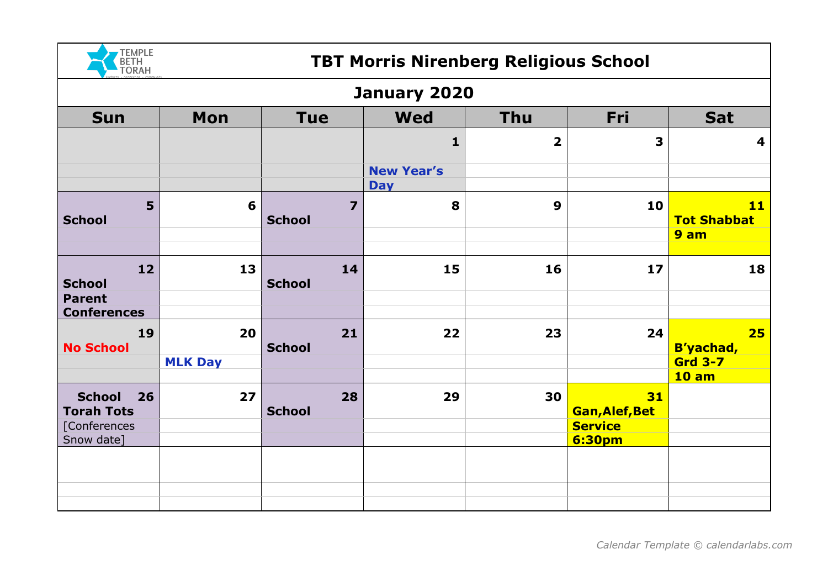

| <b>IURAN</b>                             |                |                                          |                                 |                         |                             |                                  |  |  |  |
|------------------------------------------|----------------|------------------------------------------|---------------------------------|-------------------------|-----------------------------|----------------------------------|--|--|--|
|                                          | January 2020   |                                          |                                 |                         |                             |                                  |  |  |  |
| <b>Sun</b>                               | Mon            | <b>Tue</b>                               | <b>Wed</b>                      | <b>Thu</b>              | Fri                         | <b>Sat</b>                       |  |  |  |
|                                          |                |                                          | $\mathbf{1}$                    | $\overline{\mathbf{2}}$ | 3                           | $\overline{\mathbf{4}}$          |  |  |  |
|                                          |                |                                          | <b>New Year's</b><br><b>Day</b> |                         |                             |                                  |  |  |  |
| 5<br><b>School</b>                       | 6              | $\overline{\mathbf{z}}$<br><b>School</b> | 8                               | $\boldsymbol{9}$        | 10                          | 11<br><b>Tot Shabbat</b><br>9 am |  |  |  |
|                                          |                |                                          |                                 |                         |                             |                                  |  |  |  |
| 12<br><b>School</b>                      | 13             | 14<br><b>School</b>                      | 15                              | 16                      | 17                          | 18                               |  |  |  |
| <b>Parent</b><br><b>Conferences</b>      |                |                                          |                                 |                         |                             |                                  |  |  |  |
| 19<br><b>No School</b>                   | 20             | 21<br><b>School</b>                      | 22                              | 23                      | 24                          | 25<br>B'yachad,                  |  |  |  |
|                                          | <b>MLK Day</b> |                                          |                                 |                         |                             | <b>Grd 3-7</b><br>10 am          |  |  |  |
| <b>School</b><br>26<br><b>Torah Tots</b> | 27             | 28<br><b>School</b>                      | 29                              | 30                      | 31<br><b>Gan, Alef, Bet</b> |                                  |  |  |  |
| [Conferences<br>Snow date]               |                |                                          |                                 |                         | <b>Service</b><br>6:30pm    |                                  |  |  |  |
|                                          |                |                                          |                                 |                         |                             |                                  |  |  |  |
|                                          |                |                                          |                                 |                         |                             |                                  |  |  |  |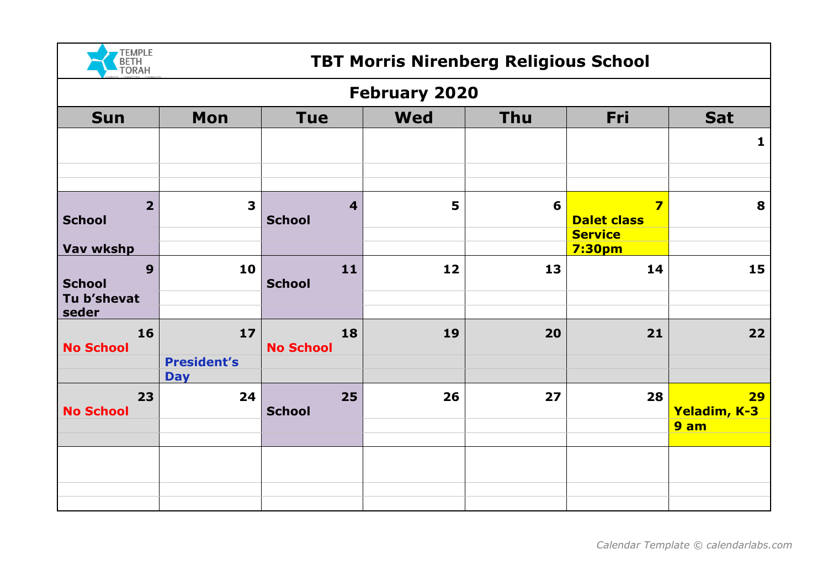

| <b>TURAH</b><br><b>February 2020</b> |                                  |                                          |            |            |                                               |                            |  |  |  |
|--------------------------------------|----------------------------------|------------------------------------------|------------|------------|-----------------------------------------------|----------------------------|--|--|--|
|                                      |                                  |                                          |            |            |                                               |                            |  |  |  |
| <b>Sun</b>                           | Mon                              | <b>Tue</b>                               | <b>Wed</b> | <b>Thu</b> | Fri                                           | <b>Sat</b>                 |  |  |  |
|                                      |                                  |                                          |            |            |                                               | $\mathbf{1}$               |  |  |  |
| $\overline{2}$<br><b>School</b>      | $\overline{\mathbf{3}}$          | $\overline{\mathbf{4}}$<br><b>School</b> | 5          | 6          | $\overline{\mathbf{z}}$<br><b>Dalet class</b> | 8                          |  |  |  |
| <b>Vav wkshp</b>                     |                                  |                                          |            |            | <b>Service</b><br>7:30pm                      |                            |  |  |  |
| 9<br><b>School</b>                   | 10                               | 11<br><b>School</b>                      | 12         | 13         | 14                                            | 15                         |  |  |  |
| Tu b'shevat<br>seder                 |                                  |                                          |            |            |                                               |                            |  |  |  |
| 16<br><b>No School</b>               | 17                               | 18<br><b>No School</b>                   | 19         | 20         | 21                                            | 22                         |  |  |  |
|                                      | <b>President's</b><br><b>Day</b> |                                          |            |            |                                               |                            |  |  |  |
| 23<br><b>No School</b>               | 24                               | 25<br><b>School</b>                      | 26         | 27         | 28                                            | 29<br>Yeladim, K-3<br>9 am |  |  |  |
|                                      |                                  |                                          |            |            |                                               |                            |  |  |  |
|                                      |                                  |                                          |            |            |                                               |                            |  |  |  |
|                                      |                                  |                                          |            |            |                                               |                            |  |  |  |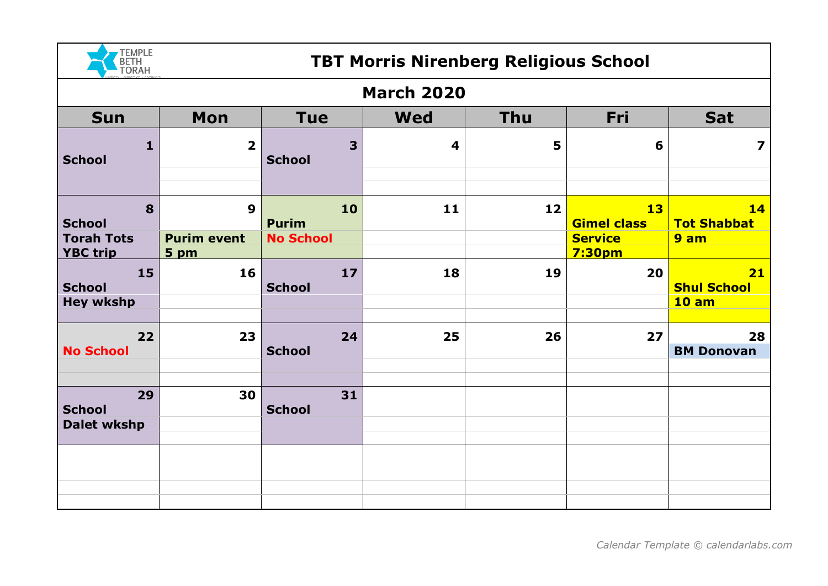

| <b>TURAN</b>                         |                                   |                                          |            |            |                                 |                          |  |  |
|--------------------------------------|-----------------------------------|------------------------------------------|------------|------------|---------------------------------|--------------------------|--|--|
| <b>March 2020</b>                    |                                   |                                          |            |            |                                 |                          |  |  |
| <b>Sun</b>                           | Mon                               | <b>Tue</b>                               | <b>Wed</b> | <b>Thu</b> | Fri                             | <b>Sat</b>               |  |  |
| $\mathbf{1}$<br><b>School</b>        | $\overline{\mathbf{2}}$           | $\overline{\mathbf{3}}$<br><b>School</b> | 4          | 5          | 6                               | $\overline{\mathbf{z}}$  |  |  |
|                                      |                                   |                                          |            |            |                                 |                          |  |  |
| 8<br><b>School</b>                   | $\boldsymbol{9}$                  | 10<br><b>Purim</b>                       | 11         | 12         | 13<br><b>Gimel class</b>        | 14<br><b>Tot Shabbat</b> |  |  |
| <b>Torah Tots</b><br><b>YBC trip</b> | <b>Purim event</b><br><b>5 pm</b> | <b>No School</b>                         |            |            | <b>Service</b><br><b>7:30pm</b> | 9 am                     |  |  |
| 15<br><b>School</b>                  | 16                                | 17<br><b>School</b>                      | 18         | 19         | 20                              | 21<br><b>Shul School</b> |  |  |
| <b>Hey wkshp</b>                     |                                   |                                          |            |            |                                 | 10 am                    |  |  |
| 22<br><b>No School</b>               | 23                                | 24<br><b>School</b>                      | 25         | 26         | 27                              | 28<br><b>BM Donovan</b>  |  |  |
|                                      |                                   |                                          |            |            |                                 |                          |  |  |
| 29<br><b>School</b>                  | 30                                | 31<br><b>School</b>                      |            |            |                                 |                          |  |  |
| <b>Dalet wkshp</b>                   |                                   |                                          |            |            |                                 |                          |  |  |
|                                      |                                   |                                          |            |            |                                 |                          |  |  |
|                                      |                                   |                                          |            |            |                                 |                          |  |  |
|                                      |                                   |                                          |            |            |                                 |                          |  |  |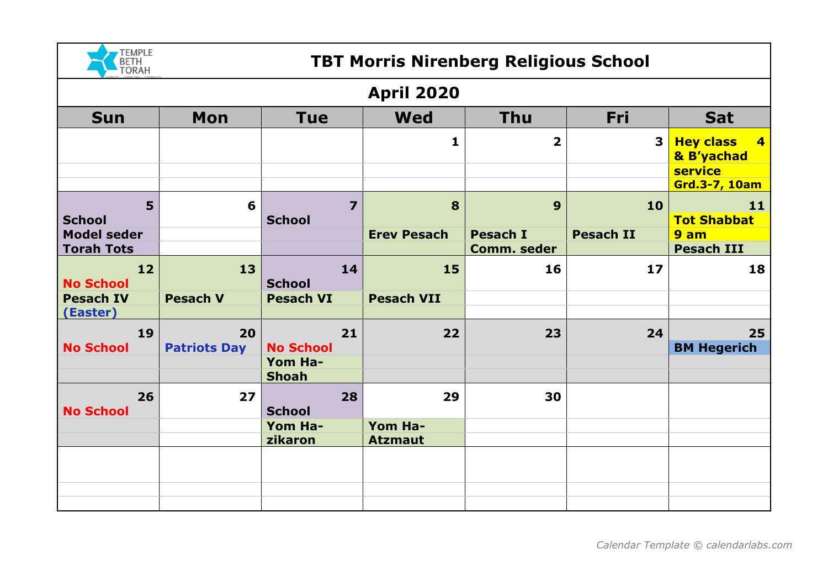

| I UKAH                 |                           |                                          |                    |                         |                         |                                                             |  |  |
|------------------------|---------------------------|------------------------------------------|--------------------|-------------------------|-------------------------|-------------------------------------------------------------|--|--|
| <b>April 2020</b>      |                           |                                          |                    |                         |                         |                                                             |  |  |
| <b>Sun</b>             | Mon                       | <b>Tue</b>                               | <b>Wed</b>         | <b>Thu</b>              | Fri                     | <b>Sat</b>                                                  |  |  |
|                        |                           |                                          | 1                  | $\overline{\mathbf{2}}$ | $\overline{\mathbf{3}}$ | <b>Hey class</b><br>$\overline{4}$<br>& B'yachad<br>service |  |  |
|                        |                           |                                          |                    |                         |                         | <b>Grd.3-7, 10am</b>                                        |  |  |
| 5<br><b>School</b>     | 6                         | $\overline{\mathbf{z}}$<br><b>School</b> | 8                  | 9                       | 10                      | 11<br><b>Tot Shabbat</b>                                    |  |  |
| <b>Model seder</b>     |                           |                                          | <b>Erev Pesach</b> | <b>Pesach I</b>         | <b>Pesach II</b>        | 9 am                                                        |  |  |
| <b>Torah Tots</b>      |                           |                                          |                    | <b>Comm. seder</b>      |                         | <b>Pesach III</b>                                           |  |  |
| 12<br><b>No School</b> | 13                        | 14<br><b>School</b>                      | 15                 | 16                      | 17                      | 18                                                          |  |  |
| <b>Pesach IV</b>       | <b>Pesach V</b>           | <b>Pesach VI</b>                         | <b>Pesach VII</b>  |                         |                         |                                                             |  |  |
| (Easter)               |                           |                                          |                    |                         |                         |                                                             |  |  |
| 19<br><b>No School</b> | 20<br><b>Patriots Day</b> | 21<br><b>No School</b>                   | 22                 | 23                      | 24                      | 25<br><b>BM Hegerich</b>                                    |  |  |
|                        |                           | Yom Ha-                                  |                    |                         |                         |                                                             |  |  |
|                        |                           | <b>Shoah</b>                             |                    |                         |                         |                                                             |  |  |
| 26<br><b>No School</b> | 27                        | 28<br><b>School</b>                      | 29                 | 30                      |                         |                                                             |  |  |
|                        |                           | Yom Ha-                                  | Yom Ha-            |                         |                         |                                                             |  |  |
|                        |                           | zikaron                                  | <b>Atzmaut</b>     |                         |                         |                                                             |  |  |
|                        |                           |                                          |                    |                         |                         |                                                             |  |  |
|                        |                           |                                          |                    |                         |                         |                                                             |  |  |
|                        |                           |                                          |                    |                         |                         |                                                             |  |  |
|                        |                           |                                          |                    |                         |                         |                                                             |  |  |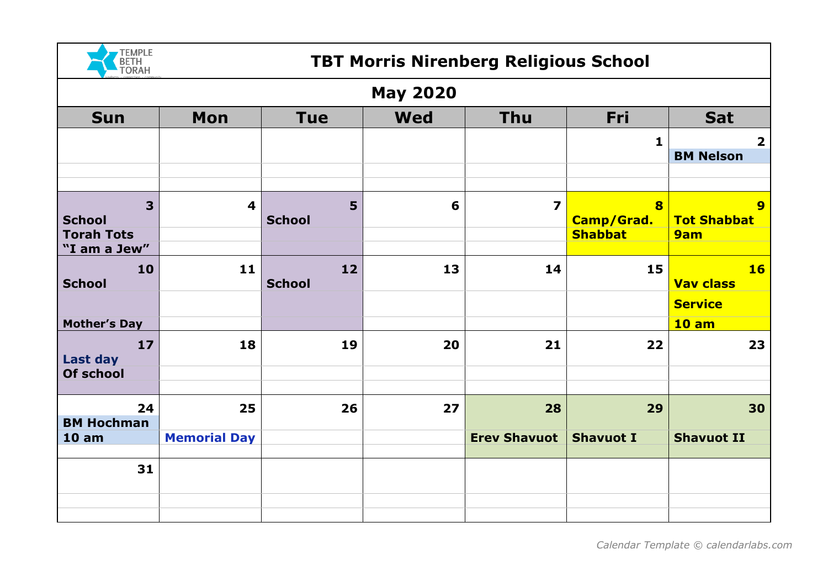

| TIUKAH              |                         |               |            |                         |                         |                         |  |  |
|---------------------|-------------------------|---------------|------------|-------------------------|-------------------------|-------------------------|--|--|
| <b>May 2020</b>     |                         |               |            |                         |                         |                         |  |  |
| <b>Sun</b>          | Mon                     | <b>Tue</b>    | <b>Wed</b> | <b>Thu</b>              | Fri                     | <b>Sat</b>              |  |  |
|                     |                         |               |            |                         | $\mathbf{1}$            | $\overline{\mathbf{2}}$ |  |  |
|                     |                         |               |            |                         |                         | <b>BM Nelson</b>        |  |  |
|                     |                         |               |            |                         |                         |                         |  |  |
|                     |                         |               |            |                         |                         |                         |  |  |
| 3                   | $\overline{\mathbf{4}}$ | 5             | 6          | $\overline{\mathbf{z}}$ | $\overline{\mathbf{8}}$ | 9                       |  |  |
| <b>School</b>       |                         | <b>School</b> |            |                         | Camp/Grad.              | <b>Tot Shabbat</b>      |  |  |
| <b>Torah Tots</b>   |                         |               |            |                         | <b>Shabbat</b>          | 9am                     |  |  |
| "I am a Jew"        |                         |               |            |                         |                         |                         |  |  |
| 10                  | 11                      | 12            | 13         | 14                      | 15                      | 16                      |  |  |
| <b>School</b>       |                         | <b>School</b> |            |                         |                         | <b>Vav class</b>        |  |  |
|                     |                         |               |            |                         |                         | <b>Service</b>          |  |  |
| <b>Mother's Day</b> |                         |               |            |                         |                         | 10 am                   |  |  |
| $17$                | 18                      | 19            | 20         | 21                      | 22                      | 23                      |  |  |
| Last day            |                         |               |            |                         |                         |                         |  |  |
| Of school           |                         |               |            |                         |                         |                         |  |  |
|                     |                         |               |            |                         |                         |                         |  |  |
| 24                  | 25                      | 26            | 27         | 28                      | 29                      | 30                      |  |  |
| <b>BM Hochman</b>   |                         |               |            |                         |                         |                         |  |  |
| 10 am               | <b>Memorial Day</b>     |               |            | <b>Erev Shavuot</b>     | <b>Shavuot I</b>        | <b>Shavuot II</b>       |  |  |
|                     |                         |               |            |                         |                         |                         |  |  |
| 31                  |                         |               |            |                         |                         |                         |  |  |
|                     |                         |               |            |                         |                         |                         |  |  |
|                     |                         |               |            |                         |                         |                         |  |  |
|                     |                         |               |            |                         |                         |                         |  |  |